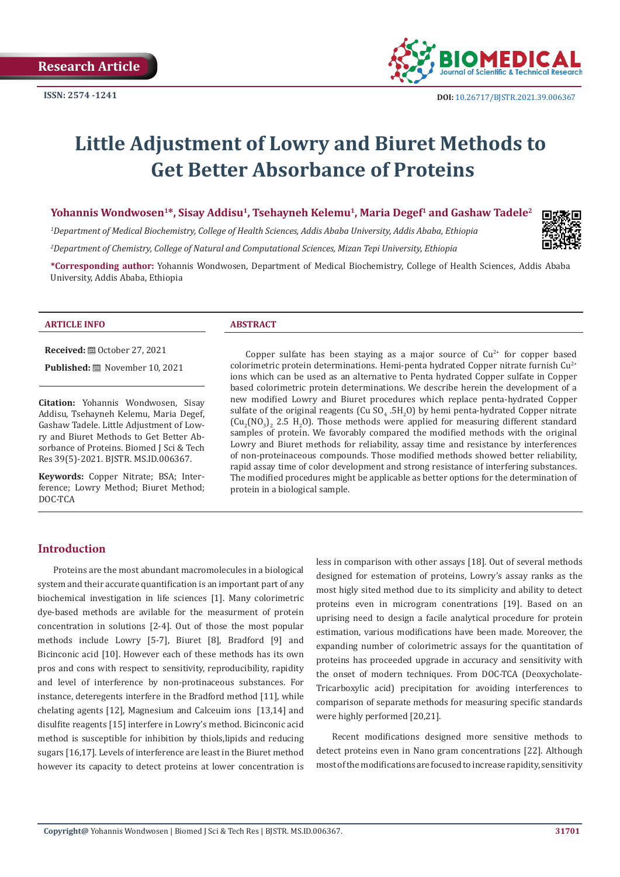

# **Little Adjustment of Lowry and Biuret Methods to Get Better Absorbance of Proteins**

**Yohannis Wondwosen<sup>1\*</sup>, Sisay Addisu<sup>1</sup>, Tsehayneh Kelemu<sup>1</sup>, Maria Degef<sup>1</sup> and Gashaw Tadele<sup>2</sup>** 

*1 Department of Medical Biochemistry, College of Health Sciences, Addis Ababa University, Addis Ababa, Ethiopia*

*2 Department of Chemistry, College of Natural and Computational Sciences, Mizan Tepi University, Ethiopia*

**\*Corresponding author:** Yohannis Wondwosen, Department of Medical Biochemistry, College of Health Sciences, Addis Ababa University, Addis Ababa, Ethiopia

#### **ARTICLE INFO ABSTRACT**

**Received: @ October 27, 2021** 

**Published:** November 10, 2021

**Citation:** Yohannis Wondwosen, Sisay Addisu, Tsehayneh Kelemu, Maria Degef, Gashaw Tadele. Little Adjustment of Lowry and Biuret Methods to Get Better Absorbance of Proteins. Biomed J Sci & Tech Res 39(5)-2021. BJSTR. MS.ID.006367.

**Keywords:** Copper Nitrate; BSA; Interference; Lowry Method; Biuret Method; DOC-TCA

Copper sulfate has been staying as a major source of  $Cu<sup>2+</sup>$  for copper based colorimetric protein determinations. Hemi-penta hydrated Copper nitrate furnish  $Cu^{2+}$ ions which can be used as an alternative to Penta hydrated Copper sulfate in Copper based colorimetric protein determinations. We describe herein the development of a new modified Lowry and Biuret procedures which replace penta-hydrated Copper sulfate of the original reagents (Cu  $SO_4$   $.5H_2O$ ) by hemi penta-hydrated Copper nitrate  $\left[\text{Cu}_{2}\text{(NO}_{3}\right)_{2}$  2.5 H<sub>2</sub>O). Those methods were applied for measuring different standard samples of protein. We favorably compared the modified methods with the original Lowry and Biuret methods for reliability, assay time and resistance by interferences of non-proteinaceous compounds. Those modified methods showed better reliability, rapid assay time of color development and strong resistance of interfering substances. The modified procedures might be applicable as better options for the determination of protein in a biological sample.

# **Introduction**

Proteins are the most abundant macromolecules in a biological system and their accurate quantification is an important part of any biochemical investigation in life sciences [1]. Many colorimetric dye-based methods are avilable for the measurment of protein concentration in solutions [2-4]. Out of those the most popular methods include Lowry [5-7], Biuret [8], Bradford [9] and Bicinconic acid [10]. However each of these methods has its own pros and cons with respect to sensitivity, reproducibility, rapidity and level of interference by non-protinaceous substances. For instance, deteregents interfere in the Bradford method [11], while chelating agents [12], Magnesium and Calceuim ions [13,14] and disulfite reagents [15] interfere in Lowry's method. Bicinconic acid method is susceptible for inhibition by thiols,lipids and reducing sugars [16,17]. Levels of interference are least in the Biuret method however its capacity to detect proteins at lower concentration is

less in comparison with other assays [18]. Out of several methods designed for estemation of proteins, Lowry's assay ranks as the most higly sited method due to its simplicity and ability to detect proteins even in microgram conentrations [19]. Based on an uprising need to design a facile analytical procedure for protein estimation, various modifications have been made. Moreover, the expanding number of colorimetric assays for the quantitation of proteins has proceeded upgrade in accuracy and sensitivity with the onset of modern techniques. From DOC-TCA (Deoxycholate-Tricarboxylic acid) precipitation for avoiding interferences to comparison of separate methods for measuring specific standards were highly performed [20,21].

Recent modifications designed more sensitive methods to detect proteins even in Nano gram concentrations [22]. Although most of the modifications are focused to increase rapidity, sensitivity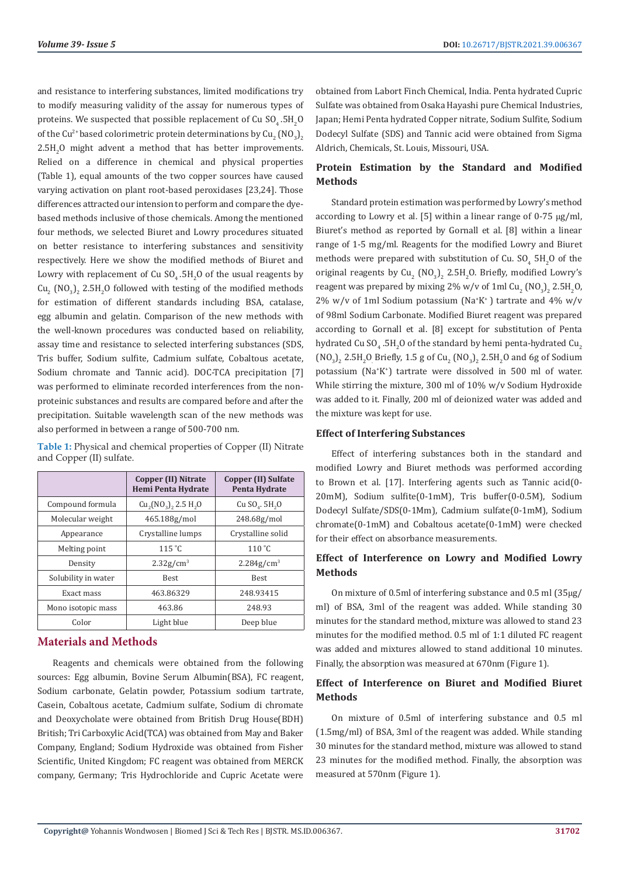and resistance to interfering substances, limited modifications try to modify measuring validity of the assay for numerous types of proteins. We suspected that possible replacement of Cu  $\mathsf{SO}_4$  .5H  $_2\mathsf{O}$ of the Cu<sup>2+</sup> based colorimetric protein determinations by  $\text{Cu}_2^{\text{}} \left( \text{NO}_3 \right)_2$  $2.5H<sub>2</sub>$ O might advent a method that has better improvements. Relied on a difference in chemical and physical properties (Table 1), equal amounts of the two copper sources have caused varying activation on plant root-based peroxidases [23,24]. Those differences attracted our intension to perform and compare the dyebased methods inclusive of those chemicals. Among the mentioned four methods, we selected Biuret and Lowry procedures situated on better resistance to interfering substances and sensitivity respectively. Here we show the modified methods of Biuret and Lowry with replacement of Cu  $\mathop{\rm SU}_4.5\mathrm{H}_2\mathrm{O}$  of the usual reagents by  $\rm Cu_2$  (NO<sub>3</sub>)<sub>2</sub> 2.5H<sub>2</sub>O followed with testing of the modified methods for estimation of different standards including BSA, catalase, egg albumin and gelatin. Comparison of the new methods with the well-known procedures was conducted based on reliability, assay time and resistance to selected interfering substances (SDS, Tris buffer, Sodium sulfite, Cadmium sulfate, Cobaltous acetate, Sodium chromate and Tannic acid). DOC-TCA precipitation [7] was performed to eliminate recorded interferences from the nonproteinic substances and results are compared before and after the precipitation. Suitable wavelength scan of the new methods was also performed in between a range of 500-700 nm.

|                     | Copper (II) Nitrate<br>Hemi Penta Hydrate | <b>Copper (II) Sulfate</b><br>Penta Hydrate |  |
|---------------------|-------------------------------------------|---------------------------------------------|--|
| Compound formula    | $Cu_{2}(NO_{3})$ , 2.5 H <sub>2</sub> O   | $Cu$ SO $.5H2O$                             |  |
| Molecular weight    | 465.188g/mol                              | 248.68g/mol                                 |  |
| Appearance          | Crystalline lumps                         | Crystalline solid                           |  |
| Melting point       | 115 °C                                    | $110^{\circ}$ C                             |  |
| Density             | $2.32$ g/cm <sup>3</sup>                  | $2.284g/cm^{3}$                             |  |
| Solubility in water | <b>Best</b>                               | <b>Best</b>                                 |  |
| Exact mass          | 463.86329                                 | 248.93415                                   |  |
| Mono isotopic mass  | 463.86                                    | 248.93                                      |  |
| Color               | Light blue                                | Deep blue                                   |  |

**Table 1:** Physical and chemical properties of Copper (II) Nitrate and Copper (II) sulfate.

# **Materials and Methods**

Reagents and chemicals were obtained from the following sources: Egg albumin, Bovine Serum Albumin(BSA), FC reagent, Sodium carbonate, Gelatin powder, Potassium sodium tartrate, Casein, Cobaltous acetate, Cadmium sulfate, Sodium di chromate and Deoxycholate were obtained from British Drug House(BDH) British; Tri Carboxylic Acid(TCA) was obtained from May and Baker Company, England; Sodium Hydroxide was obtained from Fisher Scientific, United Kingdom; FC reagent was obtained from MERCK company, Germany; Tris Hydrochloride and Cupric Acetate were

obtained from Labort Finch Chemical, India. Penta hydrated Cupric Sulfate was obtained from Osaka Hayashi pure Chemical Industries, Japan; Hemi Penta hydrated Copper nitrate, Sodium Sulfite, Sodium Dodecyl Sulfate (SDS) and Tannic acid were obtained from Sigma Aldrich, Chemicals, St. Louis, Missouri, USA.

# **Protein Estimation by the Standard and Modified Methods**

Standard protein estimation was performed by Lowry's method according to Lowry et al. [5] within a linear range of 0-75 μg/ml, Biuret's method as reported by Gornall et al. [8] within a linear range of 1-5 mg/ml. Reagents for the modified Lowry and Biuret methods were prepared with substitution of Cu.  $SO_4$  5H<sub>2</sub>O of the original reagents by  $\text{Cu}_2^{\text{}}$  (NO<sub>3</sub>)<sub>2</sub> 2.5H<sub>2</sub>O. Briefly, modified Lowry's reagent was prepared by mixing 2% w/v of  $1 \text{ml Cu}_2$  (NO<sub>3</sub>)<sub>2</sub> 2.5H<sub>2</sub>O,  $2\%$  w/v of 1ml Sodium potassium (Na<sup>+</sup>K<sup>+</sup>) tartrate and 4% w/v of 98ml Sodium Carbonate. Modified Biuret reagent was prepared according to Gornall et al. [8] except for substitution of Penta hydrated Cu SO<sub>4</sub> .5H<sub>2</sub>O of the standard by hemi penta-hydrated Cu<sub>2</sub>  $(NO<sub>3</sub>)<sub>2</sub> 2.5H<sub>2</sub>O$  Briefly, 1.5 g of Cu<sub>2</sub>  $(NO<sub>3</sub>)<sub>2</sub> 2.5H<sub>2</sub>O$  and 6g of Sodium potassium (Na+ K+ ) tartrate were dissolved in 500 ml of water. While stirring the mixture, 300 ml of 10% w/v Sodium Hydroxide was added to it. Finally, 200 ml of deionized water was added and the mixture was kept for use.

# **Effect of Interfering Substances**

Effect of interfering substances both in the standard and modified Lowry and Biuret methods was performed according to Brown et al. [17]. Interfering agents such as Tannic acid(0- 20mΜ), Sodium sulfite(0-1mM), Tris buffer(0-0.5M), Sodium Dodecyl Sulfate/SDS(0-1Mm), Cadmium sulfate(0-1mM), Sodium chromate(0-1mM) and Cobaltous acetate(0-1mM) were checked for their effect on absorbance measurements.

# **Effect of Interference on Lowry and Modified Lowry Methods**

On mixture of 0.5ml of interfering substance and 0.5 ml (35μg/ ml) of BSA, 3ml of the reagent was added. While standing 30 minutes for the standard method, mixture was allowed to stand 23 minutes for the modified method. 0.5 ml of 1:1 diluted FC reagent was added and mixtures allowed to stand additional 10 minutes. Finally, the absorption was measured at 670nm (Figure 1).

# **Effect of Interference on Biuret and Modified Biuret Methods**

On mixture of 0.5ml of interfering substance and 0.5 ml (1.5mg/ml) of BSA, 3ml of the reagent was added. While standing 30 minutes for the standard method, mixture was allowed to stand 23 minutes for the modified method. Finally, the absorption was measured at 570nm (Figure 1).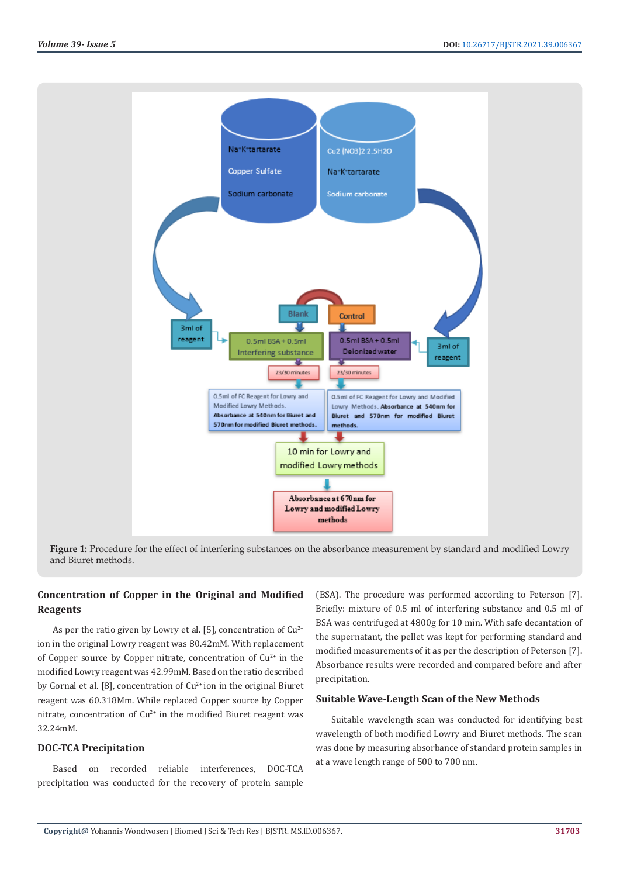

**Figure 1:** Procedure for the effect of interfering substances on the absorbance measurement by standard and modified Lowry and Biuret methods.

# **Concentration of Copper in the Original and Modified Reagents**

As per the ratio given by Lowry et al. [5], concentration of  $Cu^{2+}$ ion in the original Lowry reagent was 80.42mM. With replacement of Copper source by Copper nitrate, concentration of  $Cu<sup>2+</sup>$  in the modified Lowry reagent was 42.99mM. Based on the ratio described by Gornal et al. [8], concentration of  $Cu^{2+}$  ion in the original Biuret reagent was 60.318Mm. While replaced Copper source by Copper nitrate, concentration of  $Cu^{2+}$  in the modified Biuret reagent was 32.24mM.

# **DOC-TCA Precipitation**

Based on recorded reliable interferences, DOC-TCA precipitation was conducted for the recovery of protein sample

(BSA). The procedure was performed according to Peterson [7]. Briefly: mixture of 0.5 ml of interfering substance and 0.5 ml of BSA was centrifuged at 4800g for 10 min. With safe decantation of the supernatant, the pellet was kept for performing standard and modified measurements of it as per the description of Peterson [7]. Absorbance results were recorded and compared before and after precipitation.

#### **Suitable Wave-Length Scan of the New Methods**

Suitable wavelength scan was conducted for identifying best wavelength of both modified Lowry and Biuret methods. The scan was done by measuring absorbance of standard protein samples in at a wave length range of 500 to 700 nm.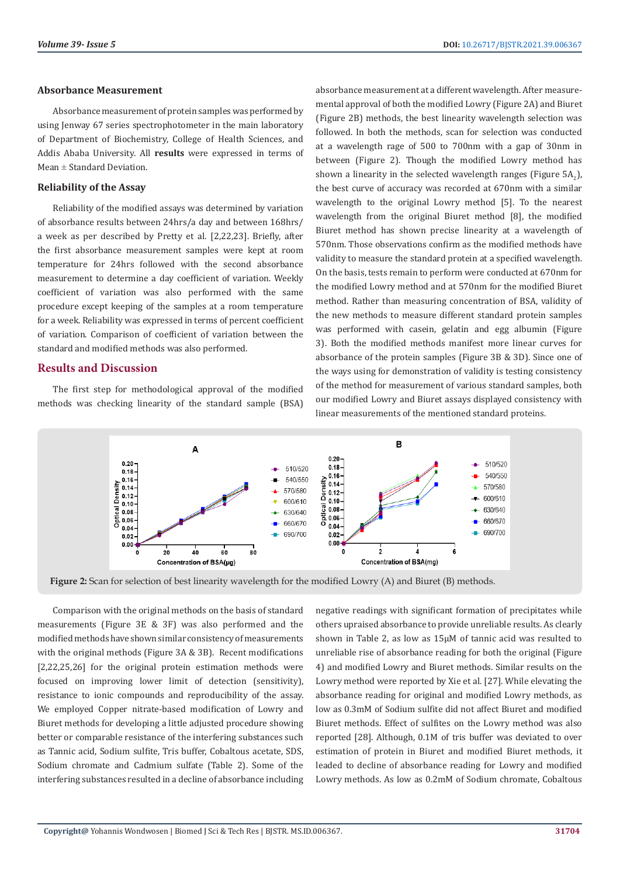#### **Absorbance Measurement**

Absorbance measurement of protein samples was performed by using Jenway 67 series spectrophotometer in the main laboratory of Department of Biochemistry, College of Health Sciences, and Addis Ababa University. All **results** were expressed in terms of Mean  $\pm$  Standard Deviation.

# **Reliability of the Assay**

Reliability of the modified assays was determined by variation of absorbance results between 24hrs/a day and between 168hrs/ a week as per described by Pretty et al. [2,22,23]. Briefly, after the first absorbance measurement samples were kept at room temperature for 24hrs followed with the second absorbance measurement to determine a day coefficient of variation. Weekly coefficient of variation was also performed with the same procedure except keeping of the samples at a room temperature for a week. Reliability was expressed in terms of percent coefficient of variation. Comparison of coefficient of variation between the standard and modified methods was also performed.

#### **Results and Discussion**

The first step for methodological approval of the modified methods was checking linearity of the standard sample (BSA) absorbance measurement at a different wavelength. After measuremental approval of both the modified Lowry (Figure 2A) and Biuret (Figure 2B) methods, the best linearity wavelength selection was followed. In both the methods, scan for selection was conducted at a wavelength rage of 500 to 700nm with a gap of 30nm in between (Figure 2). Though the modified Lowry method has shown a linearity in the selected wavelength ranges (Figure 5A<sub>2</sub>), the best curve of accuracy was recorded at 670nm with a similar wavelength to the original Lowry method [5]. To the nearest wavelength from the original Biuret method [8], the modified Biuret method has shown precise linearity at a wavelength of 570nm. Those observations confirm as the modified methods have validity to measure the standard protein at a specified wavelength. On the basis, tests remain to perform were conducted at 670nm for the modified Lowry method and at 570nm for the modified Biuret method. Rather than measuring concentration of BSA, validity of the new methods to measure different standard protein samples was performed with casein, gelatin and egg albumin (Figure 3). Both the modified methods manifest more linear curves for absorbance of the protein samples (Figure 3B & 3D). Since one of the ways using for demonstration of validity is testing consistency of the method for measurement of various standard samples, both our modified Lowry and Biuret assays displayed consistency with linear measurements of the mentioned standard proteins.



**Figure 2:** Scan for selection of best linearity wavelength for the modified Lowry (A) and Biuret (B) methods.

Comparison with the original methods on the basis of standard measurements (Figure 3E & 3F) was also performed and the modified methods have shown similar consistency of measurements with the original methods (Figure 3A & 3B). Recent modifications [2,22,25,26] for the original protein estimation methods were focused on improving lower limit of detection (sensitivity), resistance to ionic compounds and reproducibility of the assay. We employed Copper nitrate-based modification of Lowry and Biuret methods for developing a little adjusted procedure showing better or comparable resistance of the interfering substances such as Tannic acid, Sodium sulfite, Tris buffer, Cobaltous acetate, SDS, Sodium chromate and Cadmium sulfate (Table 2). Some of the interfering substances resulted in a decline of absorbance including negative readings with significant formation of precipitates while others upraised absorbance to provide unreliable results. As clearly shown in Table 2, as low as 15μM of tannic acid was resulted to unreliable rise of absorbance reading for both the original (Figure 4) and modified Lowry and Biuret methods. Similar results on the Lowry method were reported by Xie et al. [27]. While elevating the absorbance reading for original and modified Lowry methods, as low as 0.3mM of Sodium sulfite did not affect Biuret and modified Biuret methods. Effect of sulfites on the Lowry method was also reported [28]. Although, 0.1M of tris buffer was deviated to over estimation of protein in Biuret and modified Biuret methods, it leaded to decline of absorbance reading for Lowry and modified Lowry methods. As low as 0.2mM of Sodium chromate, Cobaltous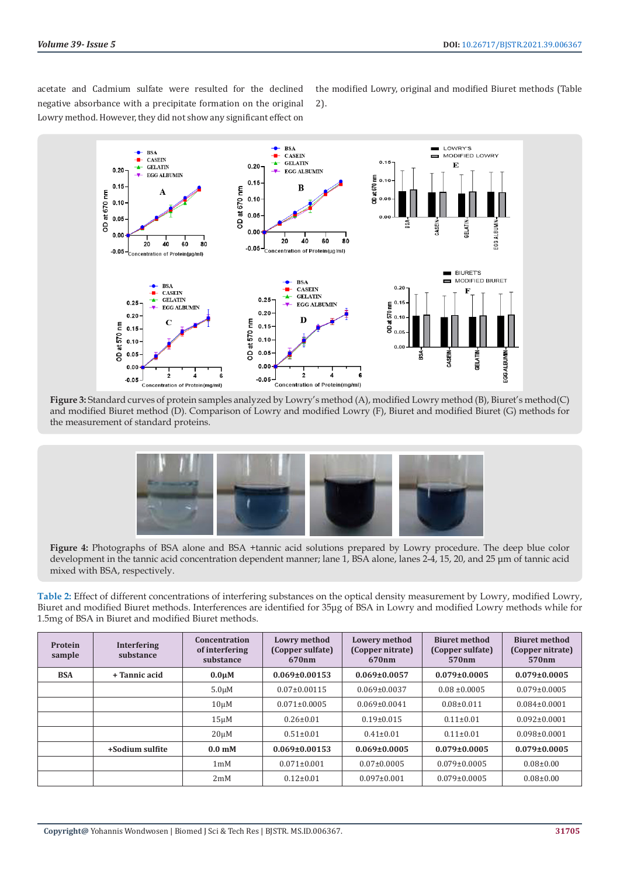acetate and Cadmium sulfate were resulted for the declined negative absorbance with a precipitate formation on the original Lowry method. However, they did not show any significant effect on

the modified Lowry, original and modified Biuret methods (Table 2).



**Figure 3:** Standard curves of protein samples analyzed by Lowry's method (A), modified Lowry method (B), Biuret's method(C) and modified Biuret method (D). Comparison of Lowry and modified Lowry (F), Biuret and modified Biuret (G) methods for the measurement of standard proteins.



**Figure 4:** Photographs of BSA alone and BSA +tannic acid solutions prepared by Lowry procedure. The deep blue color development in the tannic acid concentration dependent manner; lane 1, BSA alone, lanes 2-4, 15, 20, and 25 μm of tannic acid mixed with BSA, respectively.

**Table 2:** Effect of different concentrations of interfering substances on the optical density measurement by Lowry, modified Lowry, Biuret and modified Biuret methods. Interferences are identified for 35μg of BSA in Lowry and modified Lowry methods while for 1.5mg of BSA in Biuret and modified Biuret methods.

| Protein<br>sample | <b>Interfering</b><br>substance | Concentration<br>of interfering<br>substance | <b>Lowry method</b><br>(Copper sulfate)<br>670 <sub>nm</sub> | <b>Lowery method</b><br>(Copper nitrate)<br>670 <sub>nm</sub> | <b>Biuret method</b><br>(Copper sulfate)<br>570 <sub>nm</sub> | <b>Biuret method</b><br>(Copper nitrate)<br>570 <sub>nm</sub> |
|-------------------|---------------------------------|----------------------------------------------|--------------------------------------------------------------|---------------------------------------------------------------|---------------------------------------------------------------|---------------------------------------------------------------|
| <b>BSA</b>        | + Tannic acid                   | $0.0 \mu M$                                  | $0.069 \pm 0.00153$                                          | $0.069 \pm 0.0057$                                            | $0.079 \pm 0.0005$                                            | $0.079 \pm 0.0005$                                            |
|                   |                                 | $5.0 \mu M$                                  | $0.07 \pm 0.00115$                                           | $0.069 \pm 0.0037$                                            | $0.08 \pm 0.0005$                                             | $0.079 \pm 0.0005$                                            |
|                   |                                 | $10 \mu M$                                   | $0.071 \pm 0.0005$                                           | $0.069 \pm 0.0041$                                            | $0.08 \pm 0.011$                                              | $0.084 \pm 0.0001$                                            |
|                   |                                 | $15 \mu M$                                   | $0.26 \pm 0.01$                                              | $0.19 \pm 0.015$                                              | $0.11 \pm 0.01$                                               | $0.092 \pm 0.0001$                                            |
|                   |                                 | $20 \mu M$                                   | $0.51 \pm 0.01$                                              | $0.41 \pm 0.01$                                               | $0.11 \pm 0.01$                                               | $0.098 \pm 0.0001$                                            |
|                   | +Sodium sulfite                 | $0.0m$ M                                     | $0.069 \pm 0.00153$                                          | $0.069 \pm 0.0005$                                            | $0.079 \pm 0.0005$                                            | $0.079 \pm 0.0005$                                            |
|                   |                                 | 1 <sub>m</sub> M                             | $0.071 \pm 0.001$                                            | $0.07 \pm 0.0005$                                             | $0.079 \pm 0.0005$                                            | $0.08 \pm 0.00$                                               |
|                   |                                 | 2mM                                          | $0.12 \pm 0.01$                                              | $0.097 \pm 0.001$                                             | $0.079 \pm 0.0005$                                            | $0.08 \pm 0.00$                                               |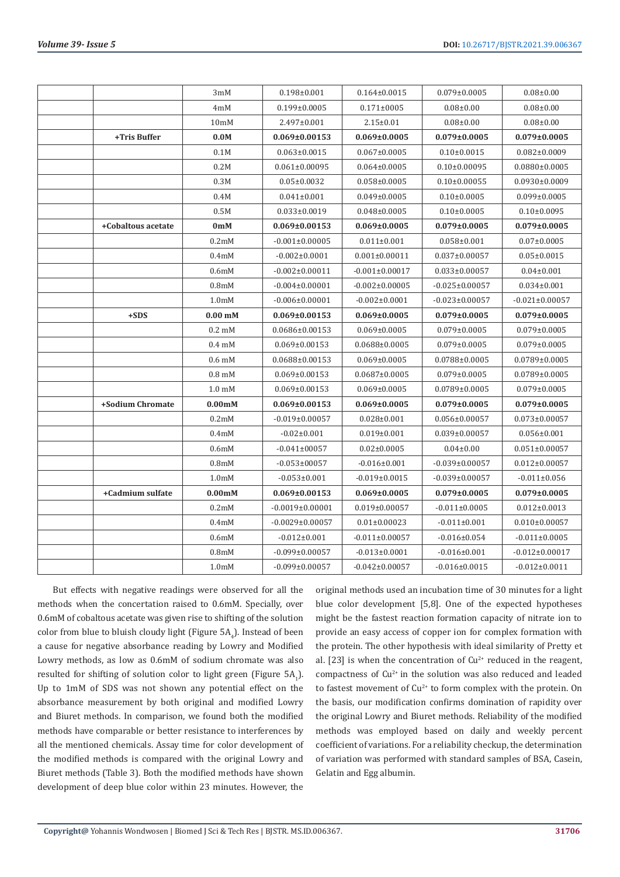|                    | 3mM                        | $0.198 \pm 0.001$     | $0.164 \pm 0.0015$   | $0.079 \pm 0.0005$   | $0.08 \pm 0.00$      |
|--------------------|----------------------------|-----------------------|----------------------|----------------------|----------------------|
|                    | 4mM                        | $0.199 \pm 0.0005$    | $0.171 \pm 0005$     | $0.08 \pm 0.00$      | $0.08 \pm 0.00$      |
|                    | 10 <sub>m</sub> M          | 2.497±0.001           | $2.15 \pm 0.01$      | $0.08 \pm 0.00$      | $0.08 \pm 0.00$      |
| +Tris Buffer       | 0.0M                       | $0.069 \pm 0.00153$   | $0.069 \pm 0.0005$   | $0.079 \pm 0.0005$   | $0.079 \pm 0.0005$   |
|                    | 0.1M                       | $0.063 \pm 0.0015$    | $0.067 \pm 0.0005$   | $0.10\pm0.0015$      | $0.082 \pm 0.0009$   |
|                    | 0.2M                       | $0.061 \pm 0.00095$   | $0.064 \pm 0.0005$   | $0.10\pm0.00095$     | $0.0880\pm0.0005$    |
|                    | 0.3M                       | $0.05 \pm 0.0032$     | $0.058 \pm 0.0005$   | $0.10\pm0.00055$     | $0.0930\pm0.0009$    |
|                    | 0.4M                       | $0.041 \pm 0.001$     | $0.049 \pm 0.0005$   | $0.10 \pm 0.0005$    | $0.099 \pm 0.0005$   |
|                    | 0.5M                       | $0.033 \pm 0.0019$    | $0.048 \pm 0.0005$   | $0.10\pm0.0005$      | $0.10 \pm 0.0095$    |
| +Cobaltous acetate | 0 <sub>m</sub> M           | $0.069 \pm 0.00153$   | $0.069 \pm 0.0005$   | $0.079 \pm 0.0005$   | $0.079 \pm 0.0005$   |
|                    | 0.2 <sub>m</sub> M         | $-0.001 \pm 0.00005$  | $0.011 \pm 0.001$    | $0.058 \pm 0.001$    | $0.07 \pm 0.0005$    |
|                    | 0.4 <sub>m</sub> M         | $-0.002 \pm 0.0001$   | $0.001 \pm 0.00011$  | $0.037 \pm 0.00057$  | $0.05 \pm 0.0015$    |
|                    | 0.6 <sub>m</sub> M         | $-0.002 \pm 0.00011$  | $-0.001 \pm 0.00017$ | $0.033 \pm 0.00057$  | $0.04 \pm 0.001$     |
|                    | 0.8 <sub>m</sub> M         | $-0.004 \pm 0.00001$  | $-0.002 \pm 0.00005$ | $-0.025 \pm 0.00057$ | $0.034 \pm 0.001$    |
|                    | 1.0 <sub>m</sub> M         | $-0.006 \pm 0.00001$  | $-0.002 \pm 0.0001$  | $-0.023 \pm 0.00057$ | $-0.021 \pm 0.00057$ |
| $+SDS$             | $0.00m$ M                  | $0.069 \pm 0.00153$   | $0.069 \pm 0.0005$   | $0.079 \pm 0.0005$   | $0.079 \pm 0.0005$   |
|                    | $0.2 \text{ }\mathrm{m}$ M | $0.0686 \pm 0.00153$  | $0.069 \pm 0.0005$   | $0.079 \pm 0.0005$   | $0.079 \pm 0.0005$   |
|                    | $0.4 \text{ mM}$           | $0.069 \pm 0.00153$   | $0.0688 \pm 0.0005$  | $0.079 \pm 0.0005$   | $0.079 \pm 0.0005$   |
|                    | $0.6 \text{ mM}$           | $0.0688 \pm 0.00153$  | $0.069 \pm 0.0005$   | $0.0788 \pm 0.0005$  | $0.0789 \pm 0.0005$  |
|                    | $0.8 \text{ mM}$           | $0.069 \pm 0.00153$   | $0.0687 \pm 0.0005$  | $0.079 \pm 0.0005$   | $0.0789 \pm 0.0005$  |
|                    | $1.0 \text{ mM}$           | $0.069 \pm 0.00153$   | $0.069 \pm 0.0005$   | $0.0789 \pm 0.0005$  | $0.079 \pm 0.0005$   |
| +Sodium Chromate   | 0.00 <sub>m</sub> M        | $0.069 \pm 0.00153$   | $0.069 \pm 0.0005$   | $0.079 \pm 0.0005$   | $0.079 \pm 0.0005$   |
|                    | 0.2 <sub>m</sub> M         | $-0.019 \pm 0.00057$  | $0.028 \pm 0.001$    | $0.056 \pm 0.00057$  | $0.073 \pm 0.00057$  |
|                    | 0.4 <sub>m</sub> M         | $-0.02 \pm 0.001$     | $0.019 \pm 0.001$    | $0.039 \pm 0.00057$  | $0.056 \pm 0.001$    |
|                    | 0.6 <sub>m</sub> M         | $-0.041\pm00057$      | $0.02 \pm 0.0005$    | $0.04 \pm 0.00$      | $0.051 \pm 0.00057$  |
|                    | 0.8 <sub>m</sub> M         | $-0.053 \pm 00057$    | $-0.016\pm0.001$     | $-0.039 \pm 0.00057$ | $0.012 \pm 0.00057$  |
|                    | 1.0 <sub>m</sub> M         | $-0.053 \pm 0.001$    | $-0.019+0.0015$      | $-0.039 \pm 0.00057$ | $-0.011 \pm 0.056$   |
| +Cadmium sulfate   | 0.00 <sub>m</sub> M        | $0.069 \pm 0.00153$   | $0.069 \pm 0.0005$   | $0.079 \pm 0.0005$   | $0.079 \pm 0.0005$   |
|                    | 0.2 <sub>m</sub> M         | $-0.0019\pm0.00001$   | $0.019 \pm 0.00057$  | $-0.011\pm0.0005$    | $0.012 \pm 0.0013$   |
|                    | 0.4 <sub>m</sub> M         | $-0.0029 \pm 0.00057$ | $0.01 \pm 0.00023$   | $-0.011\pm0.001$     | $0.010\pm0.00057$    |
|                    | 0.6 <sub>m</sub> M         | $-0.012 \pm 0.001$    | $-0.011 \pm 0.00057$ | $-0.016 \pm 0.054$   | $-0.011 \pm 0.0005$  |
|                    | 0.8 <sub>m</sub> M         | $-0.099 \pm 0.00057$  | $-0.013 \pm 0.0001$  | $-0.016 \pm 0.001$   | $-0.012 \pm 0.00017$ |
|                    | 1.0 <sub>m</sub> M         | $-0.099 \pm 0.00057$  | $-0.042 \pm 0.00057$ | $-0.016 \pm 0.0015$  | $-0.012 \pm 0.0011$  |

But effects with negative readings were observed for all the methods when the concertation raised to 0.6mM. Specially, over 0.6mM of cobaltous acetate was given rise to shifting of the solution color from blue to bluish cloudy light (Figure 5A $_{4}$ ). Instead of been a cause for negative absorbance reading by Lowry and Modified Lowry methods, as low as 0.6mM of sodium chromate was also resulted for shifting of solution color to light green (Figure  $\mathsf{5A}_1$ ). Up to 1mM of SDS was not shown any potential effect on the absorbance measurement by both original and modified Lowry and Biuret methods. In comparison, we found both the modified methods have comparable or better resistance to interferences by all the mentioned chemicals. Assay time for color development of the modified methods is compared with the original Lowry and Biuret methods (Table 3). Both the modified methods have shown development of deep blue color within 23 minutes. However, the

original methods used an incubation time of 30 minutes for a light blue color development [5,8]. One of the expected hypotheses might be the fastest reaction formation capacity of nitrate ion to provide an easy access of copper ion for complex formation with the protein. The other hypothesis with ideal similarity of Pretty et al. [23] is when the concentration of  $Cu^{2+}$  reduced in the reagent, compactness of  $Cu^{2+}$  in the solution was also reduced and leaded to fastest movement of  $Cu^{2+}$  to form complex with the protein. On the basis, our modification confirms domination of rapidity over the original Lowry and Biuret methods. Reliability of the modified methods was employed based on daily and weekly percent coefficient of variations. For a reliability checkup, the determination of variation was performed with standard samples of BSA, Casein, Gelatin and Egg albumin.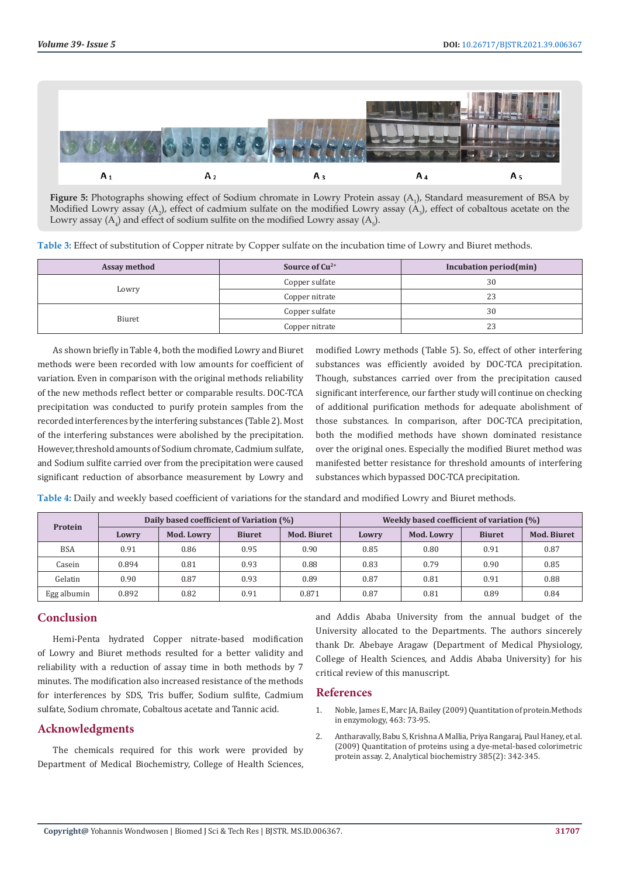

**Figure 5:** Photographs showing effect of Sodium chromate in Lowry Protein assay (A<sub>1</sub>), Standard measurement of BSA by Modified Lowry assay  $(A_2)$ , effect of cadmium sulfate on the modified Lowry assay  $(A_3)$ , effect of cobaltous acetate on the Lowry assay  $(A_4)$  and effect of sodium sulfite on the modified Lowry assay  $(A_5)$ .

**Table 3:** Effect of substitution of Copper nitrate by Copper sulfate on the incubation time of Lowry and Biuret methods.

| Assay method | Source of $Cu^{2+}$ | Incubation period(min) |  |  |
|--------------|---------------------|------------------------|--|--|
| Lowry        | Copper sulfate      | 30                     |  |  |
|              | Copper nitrate      | 23                     |  |  |
| Biuret       | Copper sulfate      | 30                     |  |  |
|              | Copper nitrate      | 23                     |  |  |

As shown briefly in Table 4, both the modified Lowry and Biuret methods were been recorded with low amounts for coefficient of variation. Even in comparison with the original methods reliability of the new methods reflect better or comparable results. DOC-TCA precipitation was conducted to purify protein samples from the recorded interferences by the interfering substances (Table 2). Most of the interfering substances were abolished by the precipitation. However, threshold amounts of Sodium chromate, Cadmium sulfate, and Sodium sulfite carried over from the precipitation were caused significant reduction of absorbance measurement by Lowry and

modified Lowry methods (Table 5). So, effect of other interfering substances was efficiently avoided by DOC-TCA precipitation. Though, substances carried over from the precipitation caused significant interference, our farther study will continue on checking of additional purification methods for adequate abolishment of those substances. In comparison, after DOC-TCA precipitation, both the modified methods have shown dominated resistance over the original ones. Especially the modified Biuret method was manifested better resistance for threshold amounts of interfering substances which bypassed DOC-TCA precipitation.

| Protein    | Daily based coefficient of Variation (%) |            |               | Weekly based coefficient of variation (%) |       |            |               |             |
|------------|------------------------------------------|------------|---------------|-------------------------------------------|-------|------------|---------------|-------------|
|            | Lowry                                    | Mod. Lowry | <b>Biuret</b> | <b>Mod. Biuret</b>                        | Lowry | Mod. Lowry | <b>Biuret</b> | Mod. Biuret |
| <b>BSA</b> | 0.91                                     | 0.86       | 0.95          | 0.90                                      | 0.85  | 0.80       | 0.91          | 0.87        |
| Casein     | 0.894                                    | 0.81       | 0.93          | 0.88                                      | 0.83  | 0.79       | 0.90          | 0.85        |
| Gelatin    | 0.90                                     | 0.87       | 0.93          | 0.89                                      | 0.87  | 0.81       | 0.91          | 0.88        |

Egg albumin 0.892 0.82 0.91 0.871 0.87 0.81 0.89 0.84

**Table 4:** Daily and weekly based coefficient of variations for the standard and modified Lowry and Biuret methods.

# **Conclusion**

Hemi-Penta hydrated Copper nitrate-based modification of Lowry and Biuret methods resulted for a better validity and reliability with a reduction of assay time in both methods by 7 minutes. The modification also increased resistance of the methods for interferences by SDS, Tris buffer, Sodium sulfite, Cadmium sulfate, Sodium chromate, Cobaltous acetate and Tannic acid.

# **Acknowledgments**

The chemicals required for this work were provided by Department of Medical Biochemistry, College of Health Sciences, and Addis Ababa University from the annual budget of the University allocated to the Departments. The authors sincerely thank Dr. Abebaye Aragaw (Department of Medical Physiology, College of Health Sciences, and Addis Ababa University) for his critical review of this manuscript.

### **References**

- 1. [Noble, James E, Marc JA, Bailey \(2009\) Quantitation of protein.Methods](https://pubmed.ncbi.nlm.nih.gov/19892168/) [in enzymology, 463: 73-95.](https://pubmed.ncbi.nlm.nih.gov/19892168/)
- 2. [Antharavally, Babu S, Krishna A Mallia, Priya Rangaraj, Paul Haney, et al.](https://www.sciencedirect.com/science/article/abs/pii/S000326970800763X) [\(2009\) Quantitation of proteins using a dye-metal-based colorimetric](https://www.sciencedirect.com/science/article/abs/pii/S000326970800763X) [protein assay. 2, Analytical biochemistry 385\(2\): 342-345.](https://www.sciencedirect.com/science/article/abs/pii/S000326970800763X)